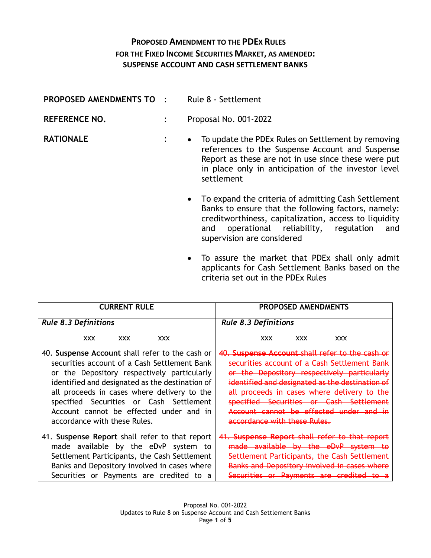## **PROPOSED AMENDMENT TO THE PDEX RULES FOR THE FIXED INCOME SECURITIES MARKET, AS AMENDED: SUSPENSE ACCOUNT AND CASH SETTLEMENT BANKS**

| PROPOSED AMENDMENTS TO | $\ddot{\phantom{1}}$ | Rule 8 - Settlement                                                                                                                                                                                                                                   |
|------------------------|----------------------|-------------------------------------------------------------------------------------------------------------------------------------------------------------------------------------------------------------------------------------------------------|
| <b>REFERENCE NO.</b>   |                      | Proposal No. 001-2022                                                                                                                                                                                                                                 |
| <b>RATIONALE</b>       | $\ddot{\cdot}$       | To update the PDEx Rules on Settlement by removing<br>$\bullet$<br>references to the Suspense Account and Suspense<br>Report as these are not in use since these were put<br>in place only in anticipation of the investor level<br>settlement        |
|                        |                      | • To expand the criteria of admitting Cash Settlement<br>Banks to ensure that the following factors, namely:<br>creditworthiness, capitalization, access to liquidity<br>operational reliability, regulation and<br>and<br>supervision are considered |
|                        |                      | • To assure the market that PDEx shall only admit<br>$\blacksquare$                                                                                                                                                                                   |

applicants for Cash Settlement Banks based on the criteria set out in the PDEx Rules

| <b>CURRENT RULE</b>                             | PROPOSED AMENDMENTS                             |  |  |  |
|-------------------------------------------------|-------------------------------------------------|--|--|--|
| <b>Rule 8.3 Definitions</b>                     | <b>Rule 8.3 Definitions</b>                     |  |  |  |
| <b>XXX</b>                                      | <b>XXX</b>                                      |  |  |  |
| <b>XXX</b>                                      | <b>XXX</b>                                      |  |  |  |
| <b>XXX</b>                                      | <b>XXX</b>                                      |  |  |  |
| 40. Suspense Account shall refer to the cash or | 40. Suspense Account shall refer to the cash or |  |  |  |
| securities account of a Cash Settlement Bank    | securities account of a Cash Settlement Bank    |  |  |  |
| or the Depository respectively particularly     | or the Depository respectively particularly     |  |  |  |
| identified and designated as the destination of | identified and designated as the destination of |  |  |  |
| all proceeds in cases where delivery to the     | all proceeds in cases where delivery to the     |  |  |  |
| specified Securities or Cash Settlement         | specified Securities or Cash Settlement         |  |  |  |
| Account cannot be effected under and in         | Account cannot be effected under and in         |  |  |  |
| accordance with these Rules.                    | accordance with these Rules.                    |  |  |  |
| 41. Suspense Report shall refer to that report  | 41. Suspense Report shall refer to that report  |  |  |  |
| made available by the eDvP system to            | made available by the eDvP system to            |  |  |  |
| Settlement Participants, the Cash Settlement    | Settlement Participants, the Cash Settlement    |  |  |  |
| Banks and Depository involved in cases where    | Banks and Depository involved in cases where    |  |  |  |
| Securities or Payments are credited to a        | Securities or Payments are credited             |  |  |  |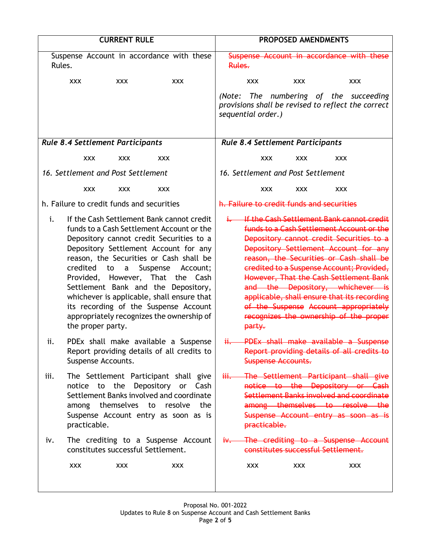| <b>CURRENT RULE</b>                     |                                                                                                                                                                                                                                                                                                                                                                                                                                                                                  |                          |                | PROPOSED AMENDMENTS       |                                           |                                                                                                                                                                                                                                                                                                                                                                                                                                                                                     |  |
|-----------------------------------------|----------------------------------------------------------------------------------------------------------------------------------------------------------------------------------------------------------------------------------------------------------------------------------------------------------------------------------------------------------------------------------------------------------------------------------------------------------------------------------|--------------------------|----------------|---------------------------|-------------------------------------------|-------------------------------------------------------------------------------------------------------------------------------------------------------------------------------------------------------------------------------------------------------------------------------------------------------------------------------------------------------------------------------------------------------------------------------------------------------------------------------------|--|
| Rules.                                  | Suspense Account in accordance with these                                                                                                                                                                                                                                                                                                                                                                                                                                        |                          | Rules.         |                           |                                           | Suspense Account in accordance with these                                                                                                                                                                                                                                                                                                                                                                                                                                           |  |
| <b>XXX</b>                              | <b>XXX</b>                                                                                                                                                                                                                                                                                                                                                                                                                                                                       | <b>XXX</b>               |                | XXX.                      | <b>XXX</b>                                | <b>XXX</b>                                                                                                                                                                                                                                                                                                                                                                                                                                                                          |  |
|                                         |                                                                                                                                                                                                                                                                                                                                                                                                                                                                                  |                          | (Note:         | sequential order.)        |                                           | The numbering of the succeeding<br>provisions shall be revised to reflect the correct                                                                                                                                                                                                                                                                                                                                                                                               |  |
| <b>Rule 8.4 Settlement Participants</b> |                                                                                                                                                                                                                                                                                                                                                                                                                                                                                  |                          |                |                           | <b>Rule 8.4 Settlement Participants</b>   |                                                                                                                                                                                                                                                                                                                                                                                                                                                                                     |  |
|                                         | XXX.<br><b>XXX</b>                                                                                                                                                                                                                                                                                                                                                                                                                                                               | <b>XXX</b>               |                | <b>XXX</b>                | <b>XXX</b>                                | <b>XXX</b>                                                                                                                                                                                                                                                                                                                                                                                                                                                                          |  |
|                                         | 16. Settlement and Post Settlement                                                                                                                                                                                                                                                                                                                                                                                                                                               |                          |                |                           | 16. Settlement and Post Settlement        |                                                                                                                                                                                                                                                                                                                                                                                                                                                                                     |  |
|                                         | <b>XXX</b><br><b>XXX</b>                                                                                                                                                                                                                                                                                                                                                                                                                                                         | <b>XXX</b>               |                | <b>XXX</b>                | <b>XXX</b>                                | <b>XXX</b>                                                                                                                                                                                                                                                                                                                                                                                                                                                                          |  |
|                                         | h. Failure to credit funds and securities                                                                                                                                                                                                                                                                                                                                                                                                                                        |                          |                |                           | h. Failure to credit funds and securities |                                                                                                                                                                                                                                                                                                                                                                                                                                                                                     |  |
| i.<br>credited                          | If the Cash Settlement Bank cannot credit<br>funds to a Cash Settlement Account or the<br>Depository cannot credit Securities to a<br>Depository Settlement Account for any<br>reason, the Securities or Cash shall be<br>$\mathsf{a}$<br>to<br>Provided, However, That the Cash<br>Settlement Bank and the Depository,<br>whichever is applicable, shall ensure that<br>its recording of the Suspense Account<br>appropriately recognizes the ownership of<br>the proper party. | Suspense<br>Account;     | ∔−             | party.                    |                                           | If the Cash Settlement Bank cannot credit<br>funds to a Cash Settlement Account or the<br>Depository cannot credit Securities to a<br>Depository Settlement Account for any<br>reason, the Securities or Cash shall be<br>credited to a Suspense Account; Provided,<br>However, That the Cash Settlement Bank<br>and the Depository, whichever is<br>applicable, shall ensure that its recording<br>of the Suspense Account appropriately<br>recognizes the ownership of the proper |  |
| ii.                                     | PDEx shall make available a Suspense<br>Report providing details of all credits to<br>Suspense Accounts.                                                                                                                                                                                                                                                                                                                                                                         |                          | <del>ii.</del> | <b>Suspense Accounts.</b> |                                           | PDEx shall make available a Suspense<br>Report providing details of all credits to                                                                                                                                                                                                                                                                                                                                                                                                  |  |
| iii.<br>notice                          | The Settlement Participant shall give<br>to the<br>Settlement Banks involved and coordinate<br>among themselves to resolve the<br>Suspense Account entry as soon as is<br>practicable.                                                                                                                                                                                                                                                                                           | Depository<br>or<br>Cash |                | practicable.              |                                           | The Settlement Participant shall give<br>notice to the Depository or Cash<br>Settlement Banks involved and coordinate<br>among themselves to resolve the<br>Suspense Account entry as soon as is                                                                                                                                                                                                                                                                                    |  |
| i۷.                                     | The crediting to a Suspense Account<br>constitutes successful Settlement.                                                                                                                                                                                                                                                                                                                                                                                                        |                          |                |                           |                                           | iv. The crediting to a Suspense Account<br>constitutes successful Settlement.                                                                                                                                                                                                                                                                                                                                                                                                       |  |
| <b>XXX</b>                              | <b>XXX</b>                                                                                                                                                                                                                                                                                                                                                                                                                                                                       | <b>XXX</b>               |                | <b>XXX</b>                | <b>XXX</b>                                | <b>XXX</b>                                                                                                                                                                                                                                                                                                                                                                                                                                                                          |  |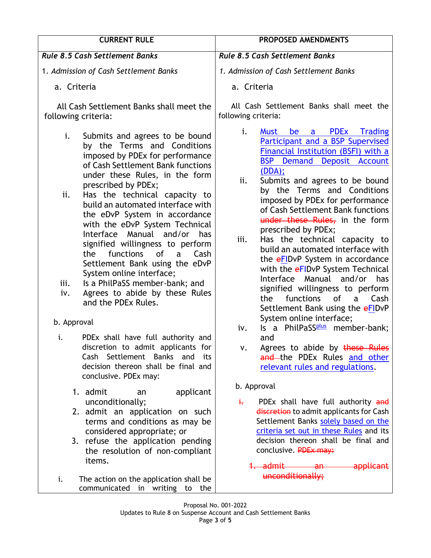| <b>CURRENT RULE</b>                                                                                                                                                                                                                                                                                                                                                                                                                                                             | PROPOSED AMENDMENTS                                                                                                                                                                                                                                                                                                                                                                                                                                                                                               |  |  |
|---------------------------------------------------------------------------------------------------------------------------------------------------------------------------------------------------------------------------------------------------------------------------------------------------------------------------------------------------------------------------------------------------------------------------------------------------------------------------------|-------------------------------------------------------------------------------------------------------------------------------------------------------------------------------------------------------------------------------------------------------------------------------------------------------------------------------------------------------------------------------------------------------------------------------------------------------------------------------------------------------------------|--|--|
| <b>Rule 8.5 Cash Settlement Banks</b>                                                                                                                                                                                                                                                                                                                                                                                                                                           | <b>Rule 8.5 Cash Settlement Banks</b>                                                                                                                                                                                                                                                                                                                                                                                                                                                                             |  |  |
| 1. Admission of Cash Settlement Banks                                                                                                                                                                                                                                                                                                                                                                                                                                           | 1. Admission of Cash Settlement Banks                                                                                                                                                                                                                                                                                                                                                                                                                                                                             |  |  |
| a. Criteria                                                                                                                                                                                                                                                                                                                                                                                                                                                                     | a. Criteria                                                                                                                                                                                                                                                                                                                                                                                                                                                                                                       |  |  |
| All Cash Settlement Banks shall meet the<br>following criteria:                                                                                                                                                                                                                                                                                                                                                                                                                 | All Cash Settlement Banks shall meet the<br>following criteria:                                                                                                                                                                                                                                                                                                                                                                                                                                                   |  |  |
| i.<br>Submits and agrees to be bound<br>by the Terms and Conditions<br>imposed by PDEx for performance<br>of Cash Settlement Bank functions<br>under these Rules, in the form<br>prescribed by PDEx;<br>Has the technical capacity to<br>ii.<br>build an automated interface with<br>the eDvP System in accordance<br>with the eDvP System Technical<br>Interface<br>Manual and/or<br>has<br>signified willingness to perform<br>the<br>functions<br>0f<br>Cash<br>$\mathsf{a}$ | i.<br><b>PDEX</b><br><b>Trading</b><br><b>Must</b><br>be<br>a<br>Participant and a BSP Supervised<br>Financial Institution (BSFI) with a<br><b>BSP</b> Demand Deposit Account<br>(DDA);<br>Submits and agrees to be bound<br>ii.<br>by the Terms and Conditions<br>imposed by PDEx for performance<br>of Cash Settlement Bank functions<br>under these Rules, in the form<br>prescribed by PDEx;<br>Has the technical capacity to<br>iii.<br>build an automated interface with<br>the eFIDvP System in accordance |  |  |
| Settlement Bank using the eDvP<br>System online interface;<br>Is a PhilPaSS member-bank; and<br>iii.<br>Agrees to abide by these Rules<br>iv.<br>and the PDEx Rules.                                                                                                                                                                                                                                                                                                            | with the eFIDvP System Technical<br>Interface Manual and/or has<br>signified willingness to perform<br>functions<br>of<br>the<br>a<br>Cash<br>Settlement Bank using the eFIDvP                                                                                                                                                                                                                                                                                                                                    |  |  |
| b. Approval                                                                                                                                                                                                                                                                                                                                                                                                                                                                     | System online interface;<br>Is a PhilPaSS <sup>plus</sup> member-bank;<br>iv.                                                                                                                                                                                                                                                                                                                                                                                                                                     |  |  |
| PDEx shall have full authority and<br>i.<br>discretion to admit applicants for<br>Settlement<br><b>Banks</b><br>Cash<br>and<br>its<br>decision thereon shall be final and<br>conclusive. PDEx may:                                                                                                                                                                                                                                                                              | and<br>Agrees to abide by these Rules<br>and the PDEx Rules and other<br>relevant rules and regulations.                                                                                                                                                                                                                                                                                                                                                                                                          |  |  |
| 1. admit<br>applicant<br>an<br>unconditionally;<br>2. admit an application on such<br>terms and conditions as may be<br>considered appropriate; or<br>3. refuse the application pending<br>the resolution of non-compliant<br>items.<br>The action on the application shall be<br>i.<br>communicated in writing<br>the<br>to                                                                                                                                                    | b. Approval<br>PDEx shall have full authority and<br>÷.<br>discretion to admit applicants for Cash<br>Settlement Banks solely based on the<br>criteria set out in these Rules and its<br>decision thereon shall be final and<br>conclusive. PDEx may:<br><del>1. admit</del><br>applicant<br><del>an -</del><br>unconditionally;                                                                                                                                                                                  |  |  |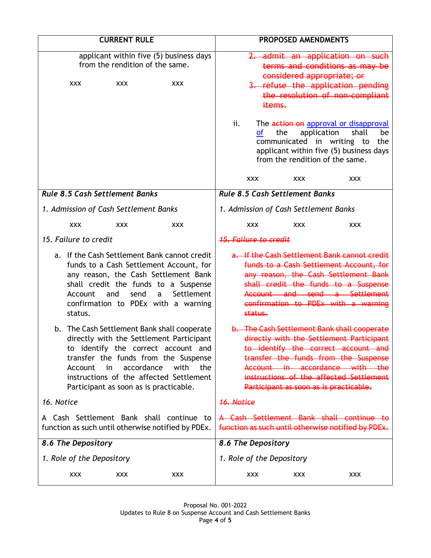| <b>CURRENT RULE</b>                                                        |                           |                                                      |                                                                                                                                                                                                                                   | PROPOSED AMENDMENTS                                                                             |            |                                                                                     |                                                                                                                                                                                                                                                                                               |
|----------------------------------------------------------------------------|---------------------------|------------------------------------------------------|-----------------------------------------------------------------------------------------------------------------------------------------------------------------------------------------------------------------------------------|-------------------------------------------------------------------------------------------------|------------|-------------------------------------------------------------------------------------|-----------------------------------------------------------------------------------------------------------------------------------------------------------------------------------------------------------------------------------------------------------------------------------------------|
| applicant within five (5) business days<br>from the rendition of the same. |                           |                                                      |                                                                                                                                                                                                                                   | 2. admit an application on such<br>terms and conditions as may be<br>considered appropriate; or |            |                                                                                     |                                                                                                                                                                                                                                                                                               |
|                                                                            | <b>XXX</b>                | <b>XXX</b>                                           | <b>XXX</b>                                                                                                                                                                                                                        |                                                                                                 | items.     |                                                                                     | 3. refuse the application pending<br>the resolution of non-compliant                                                                                                                                                                                                                          |
|                                                                            |                           |                                                      |                                                                                                                                                                                                                                   | ii.                                                                                             | <b>of</b>  | application<br>the<br>communicated in writing to<br>from the rendition of the same. | The action on approval or disapproval<br>shall<br>be<br>the<br>applicant within five (5) business days                                                                                                                                                                                        |
|                                                                            |                           |                                                      |                                                                                                                                                                                                                                   |                                                                                                 | <b>XXX</b> | <b>XXX</b>                                                                          | XXX                                                                                                                                                                                                                                                                                           |
|                                                                            |                           | <b>Rule 8.5 Cash Settlement Banks</b>                |                                                                                                                                                                                                                                   |                                                                                                 |            | <b>Rule 8.5 Cash Settlement Banks</b>                                               |                                                                                                                                                                                                                                                                                               |
|                                                                            |                           | 1. Admission of Cash Settlement Banks                |                                                                                                                                                                                                                                   |                                                                                                 |            | 1. Admission of Cash Settlement Banks                                               |                                                                                                                                                                                                                                                                                               |
|                                                                            | <b>XXX</b>                | <b>XXX</b>                                           | <b>XXX</b>                                                                                                                                                                                                                        |                                                                                                 | <b>XXX</b> | <b>XXX</b>                                                                          | <b>XXX</b>                                                                                                                                                                                                                                                                                    |
| 15. Failure to credit                                                      |                           |                                                      |                                                                                                                                                                                                                                   | <b>15. Failure to credit</b>                                                                    |            |                                                                                     |                                                                                                                                                                                                                                                                                               |
|                                                                            | Account<br>status.        | and<br>send                                          | a. If the Cash Settlement Bank cannot credit<br>funds to a Cash Settlement Account, for<br>any reason, the Cash Settlement Bank<br>shall credit the funds to a Suspense<br>Settlement<br>a<br>confirmation to PDEx with a warning |                                                                                                 | status.    |                                                                                     | a. If the Cash Settlement Bank cannot credit<br>funds to a Cash Settlement Account, for<br>any reason, the Cash Settlement Bank<br>shall credit the funds to a Suspense<br>Account and send a Settlement<br>confirmation to PDEx with a warning                                               |
|                                                                            | Account<br>in             | accordance<br>Participant as soon as is practicable. | b. The Cash Settlement Bank shall cooperate<br>directly with the Settlement Participant<br>to identify the correct account and<br>transfer the funds from the Suspense<br>with<br>the<br>instructions of the affected Settlement  |                                                                                                 |            |                                                                                     | b. The Cash Settlement Bank shall cooperate<br>directly with the Settlement Participant<br>to identify the correct account and<br>transfer the funds from the Suspense<br>Account in accordance with the<br>instructions of the affected Settlement<br>Participant as soon as is practicable. |
| 16. Notice                                                                 |                           |                                                      | <del>16. Notice</del>                                                                                                                                                                                                             |                                                                                                 |            |                                                                                     |                                                                                                                                                                                                                                                                                               |
|                                                                            |                           |                                                      | A Cash Settlement Bank shall continue to<br>function as such until otherwise notified by PDEx.                                                                                                                                    | A Cash Settlement Bank shall continue to<br>function as such until otherwise notified by PDEx.  |            |                                                                                     |                                                                                                                                                                                                                                                                                               |
|                                                                            | 8.6 The Depository        |                                                      |                                                                                                                                                                                                                                   | 8.6 The Depository                                                                              |            |                                                                                     |                                                                                                                                                                                                                                                                                               |
|                                                                            | 1. Role of the Depository |                                                      |                                                                                                                                                                                                                                   | 1. Role of the Depository                                                                       |            |                                                                                     |                                                                                                                                                                                                                                                                                               |
|                                                                            | <b>XXX</b>                | <b>XXX</b>                                           | <b>XXX</b>                                                                                                                                                                                                                        |                                                                                                 | <b>XXX</b> | <b>XXX</b>                                                                          | <b>XXX</b>                                                                                                                                                                                                                                                                                    |